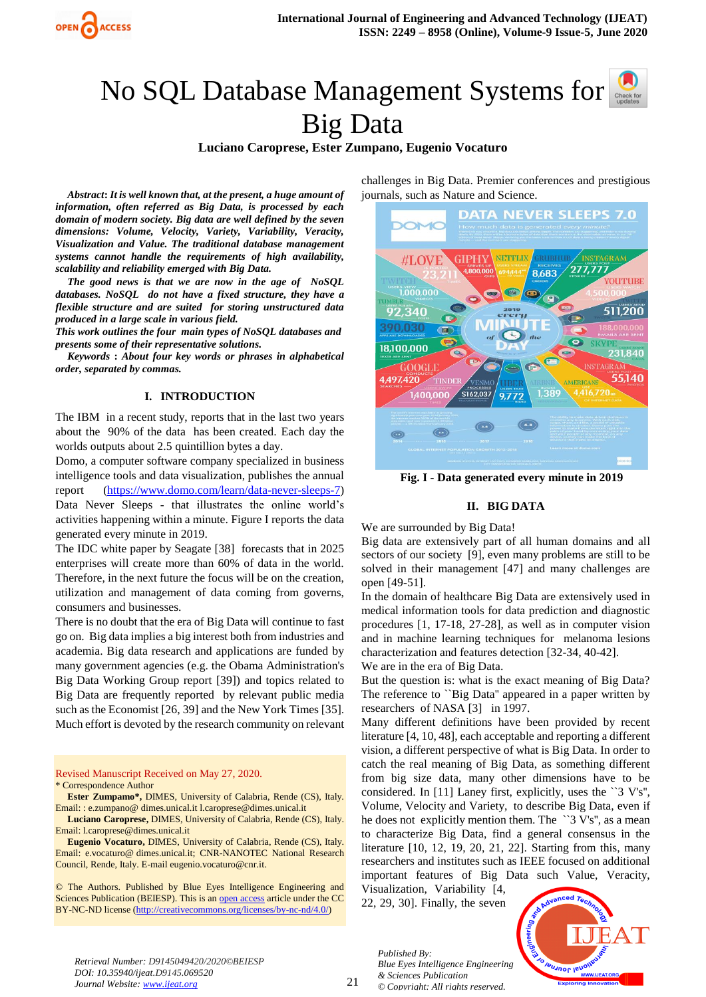

# NoSQL Database Management Systems for Big Data

**Luciano Caroprese, Ester Zumpano, Eugenio Vocaturo**

*Abstract***:** *It is well known that, at the present, a huge amount of information, often referred as Big Data, is processed by each domain of modern society. Big data are well defined by the seven dimensions: Volume, Velocity, Variety, Variability, Veracity, Visualization and Value. The traditional database management systems cannot handle the requirements of high availability, scalability and reliability emerged with Big Data.*

*The good news is that we are now in the age of NoSQL databases. NoSQL do not have a fixed structure, they have a flexible structure and are suited for storing unstructured data produced in a large scale in various field.*

*This work outlines the four main types of NoSQL databases and presents some of their representative solutions.*

*Keywords* **:** *About four key words or phrases in alphabetical order, separated by commas.* 

#### **I. INTRODUCTION**

The IBM in a recent study, reports that in the last two years about the 90% of the data has been created. Each day the worlds outputs about 2.5 quintillion bytes a day.

Domo, a computer software company specialized in business intelligence tools and data visualization, publishes the annual report [\(https://www.domo.com/learn/data-never-sleeps-7\)](https://www.domo.com/learn/data-never-sleeps-7) Data Never Sleeps - that illustrates the online world's activities happening within a minute. Figure I reports the data generated every minute in 2019.

The IDC white paper by Seagate [38] forecasts that in 2025 enterprises will create more than 60% of data in the world. Therefore, in the next future the focus will be on the creation, utilization and management of data coming from governs, consumers and businesses.

There is no doubt that the era of Big Data will continue to fast go on. Big data implies a big interest both from industries and academia. Big data research and applications are funded by many government agencies (e.g. the Obama Administration's Big Data Working Group report [39]) and topics related to Big Data are frequently reported by relevant public media such as the Economist [26, 39] and the New York Times [35]. Much effort is devoted by the research community on relevant

Revised Manuscript Received on May 27, 2020. \* Correspondence Author

**Ester Zumpamo\*,** DIMES, University of Calabria, Rende (CS), Italy. Email: : e.zumpano@ dimes.unical.it l.caroprese@dimes.unical.it

**Luciano Caroprese,** DIMES, University of Calabria, Rende (CS), Italy. Email: l.caroprese@dimes.unical.it

**Eugenio Vocaturo,** DIMES, University of Calabria, Rende (CS), Italy. Email: e.vocaturo@ [dimes.unical.it;](http://dimes.unical.it/) CNR-NANOTEC National Research Council, Rende, Italy. E-mail [eugenio.vocaturo@cnr.it.](mailto:eugenio.vocaturo@cnr.it)

© The Authors. Published by Blue Eyes Intelligence Engineering and Sciences Publication (BEIESP). This is an [open access](https://www.openaccess.nl/en/open-publications) article under the CC BY-NC-ND license [\(http://creativecommons.org/licenses/by-nc-nd/4.0/\)](http://creativecommons.org/licenses/by-nc-nd/4.0/)

challenges in Big Data. Premier conferences and prestigious journals, such as Nature and Science.



**Fig. I - Data generated every minute in 2019**

#### **II. BIG DATA**

We are surrounded by Big Data!

Big data are extensively part of all human domains and all sectors of our society [9], even many problems are still to be solved in their management [47] and many challenges are open [49-51].

In the domain of healthcare Big Data are extensively used in medical information tools for data prediction and diagnostic procedures [1, 17-18, 27-28], as well as in computer vision and in machine learning techniques for melanoma lesions characterization and features detection [32-34, 40-42].

We are in the era of Big Data.

But the question is: what is the exact meaning of Big Data? The reference to "Big Data" appeared in a paper written by researchers of NASA [3] in 1997.

Many different definitions have been provided by recent literature [4, 10, 48], each acceptable and reporting a different vision, a different perspective of what is Big Data. In order to catch the real meaning of Big Data, as something different from big size data, many other dimensions have to be considered. In [11] Laney first, explicitly, uses the ``3 V's'', Volume, Velocity and Variety, to describe Big Data, even if he does not explicitly mention them. The ``3 V's", as a mean to characterize Big Data, find a general consensus in the literature [10, 12, 19, 20, 21, 22]. Starting from this, many researchers and institutes such as IEEE focused on additional important features of Big Data such Value, Veracity,

Visualization, Variability [4, 22, 29, 30]. Finally, the seven

*Published By:*

*& Sciences Publication © Copyright: All rights reserved.*



*Retrieval Number: D9145049420/2020©BEIESP DOI: 10.35940/ijeat.D9145.069520 Journal Website: www.ijeat.org*

21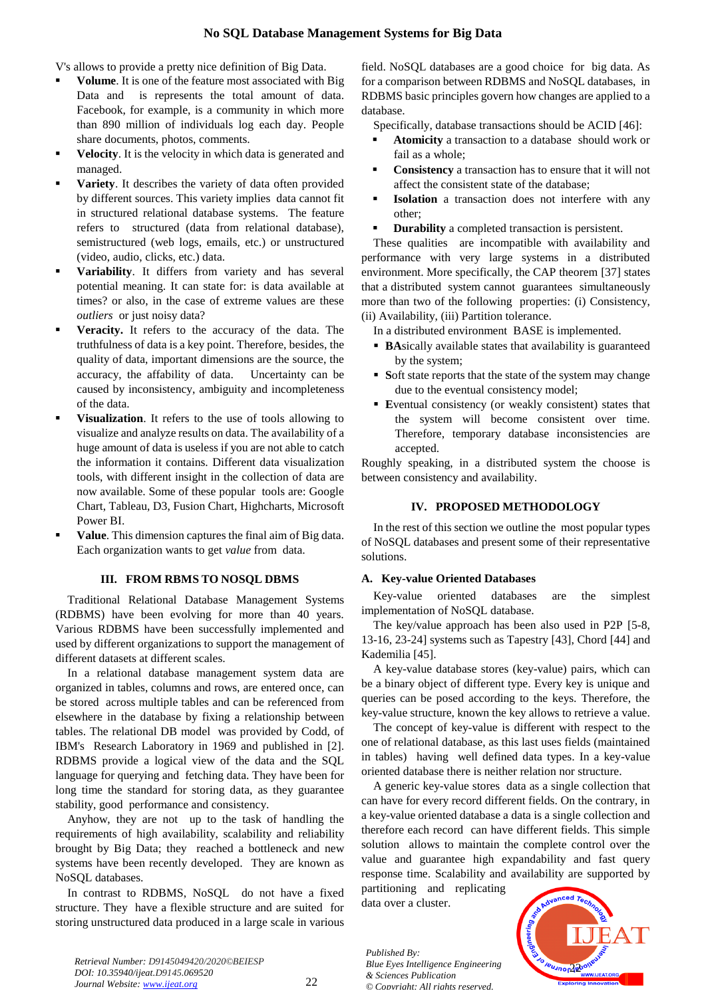V's allows to provide a pretty nice definition of Big Data.

- **Volume**. It is one of the feature most associated with Big Data and is represents the total amount of data. Facebook, for example, is a community in which more than 890 million of individuals log each day. People share documents, photos, comments.
- **Velocity**. It is the velocity in which data is generated and managed.
- **Variety**. It describes the variety of data often provided by different sources. This variety implies data cannot fit in structured relational database systems. The feature refers to structured (data from relational database), semistructured (web logs, emails, etc.) or unstructured (video, audio, clicks, etc.) data.
- **Variability**. It differs from variety and has several potential meaning. It can state for: is data available at times? or also, in the case of extreme values are these *outliers* or just noisy data?
- **Veracity.** It refers to the accuracy of the data. The truthfulness of data is a key point. Therefore, besides, the quality of data, important dimensions are the source, the accuracy, the affability of data. Uncertainty can be caused by inconsistency, ambiguity and incompleteness of the data.
- **Visualization**. It refers to the use of tools allowing to visualize and analyze results on data. The availability of a huge amount of data is useless if you are not able to catch the information it contains. Different data visualization tools, with different insight in the collection of data are now available. Some of these popular tools are: Google Chart, Tableau, D3, Fusion Chart, Highcharts, Microsoft Power BI.
- **Value**. This dimension captures the final aim of Big data. Each organization wants to get *value* from data.

## **III. FROM RBMS TO NOSQL DBMS**

Traditional Relational Database Management Systems (RDBMS) have been evolving for more than 40 years. Various RDBMS have been successfully implemented and used by different organizations to support the management of different datasets at different scales.

In a relational database management system data are organized in tables, columns and rows, are entered once, can be stored across multiple tables and can be referenced from elsewhere in the database by fixing a relationship between tables. The relational DB model was provided by Codd, of IBM's Research Laboratory in 1969 and published in [2]. RDBMS provide a logical view of the data and the SQL language for querying and fetching data. They have been for long time the standard for storing data, as they guarantee stability, good performance and consistency.

Anyhow, they are not up to the task of handling the requirements of high availability, scalability and reliability brought by Big Data; they reached a bottleneck and new systems have been recently developed. They are known as NoSQL databases.

In contrast to RDBMS, NoSQL do not have a fixed structure. They have a flexible structure and are suited for storing unstructured data produced in a large scale in various field. NoSQL databases are a good choice for big data. As for a comparison between RDBMS and NoSQL databases, in RDBMS basic principles govern how changes are applied to a database.

Specifically, database transactions should be ACID [46]:

- **Atomicity** a transaction to a database should work or fail as a whole;
- **Consistency** a transaction has to ensure that it will not affect the consistent state of the database;
- **Isolation** a transaction does not interfere with any other;
- **Durability** a completed transaction is persistent.

These qualities are incompatible with availability and performance with very large systems in a distributed environment. More specifically, the CAP theorem [37] states that a distributed system cannot guarantees simultaneously more than two of the following properties: (i) Consistency, (ii) Availability, (iii) Partition tolerance.

In a distributed environment BASE is implemented.

- **BA**sically available states that availability is guaranteed by the system;
- **Soft state reports that the state of the system may change** due to the eventual consistency model;
- **E**ventual consistency (or weakly consistent) states that the system will become consistent over time. Therefore, temporary database inconsistencies are accepted.

Roughly speaking, in a distributed system the choose is between consistency and availability.

## **IV. PROPOSED METHODOLOGY**

In the rest of this section we outline the most popular types of NoSQL databases and present some of their representative solutions.

## **A. Key-value Oriented Databases**

Key-value oriented databases are the simplest implementation of NoSQL database.

The key/value approach has been also used in P2P [5-8, 13-16, 23-24] systems such as Tapestry [43], Chord [44] and Kademilia [45].

A key-value database stores (key-value) pairs, which can be a binary object of different type. Every key is unique and queries can be posed according to the keys. Therefore, the key-value structure, known the key allows to retrieve a value.

The concept of key-value is different with respect to the one of relational database, as this last uses fields (maintained in tables) having well defined data types. In a key-value oriented database there is neither relation nor structure.

A generic key-value stores data as a single collection that can have for every record different fields. On the contrary, in a key-value oriented database a data is a single collection and therefore each record can have different fields. This simple solution allows to maintain the complete control over the value and guarantee high expandability and fast query response time. Scalability and availability are supported by

partitioning and replicating data over a cluster.

*Published By: Blue Eyes Intelligence Engineering & Sciences Publication © Copyright: All rights reserved.*

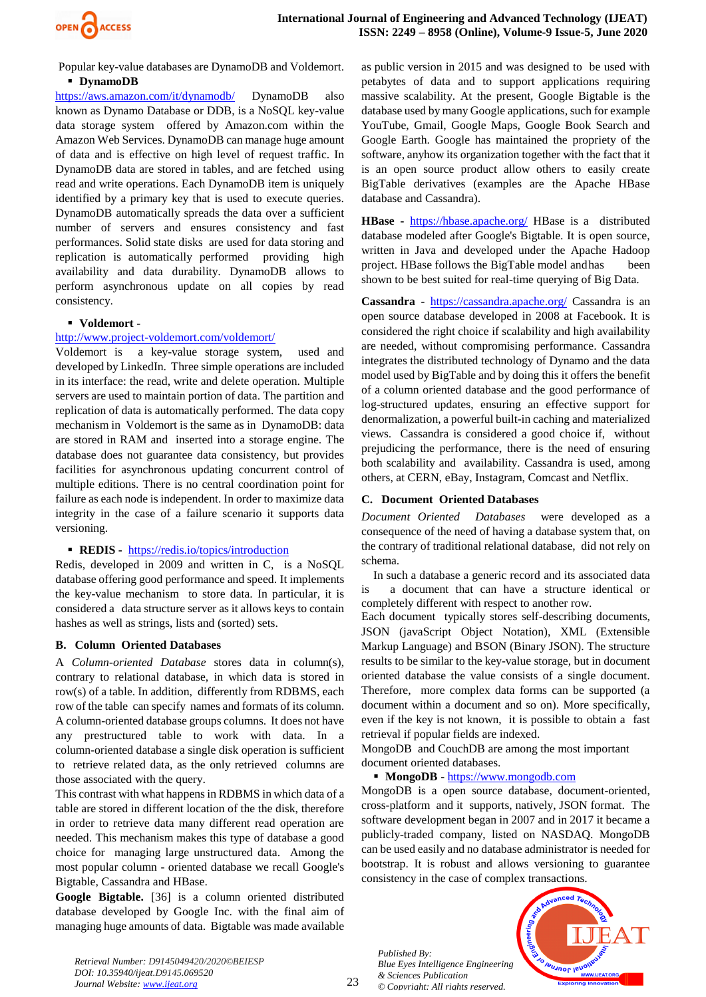

Popular key-value databases are DynamoDB and Voldemort. **DynamoDB**

<https://aws.amazon.com/it/dynamodb/> DynamoDB also known as Dynamo Database or DDB, is a NoSQL key-value data storage system offered by Amazon.com within the Amazon Web Services. DynamoDB can manage huge amount of data and is effective on high level of request traffic. In DynamoDB data are stored in tables, and are fetched using read and write operations. Each DynamoDB item is uniquely identified by a primary key that is used to execute queries. DynamoDB automatically spreads the data over a sufficient number of servers and ensures consistency and fast performances. Solid state disks are used for data storing and replication is automatically performed providing high availability and data durability. DynamoDB allows to perform asynchronous update on all copies by read consistency.

#### **Voldemort -**

#### <http://www.project-voldemort.com/voldemort/>

Voldemort is a key-value storage system, used and developed by LinkedIn. Three simple operations are included in its interface: the read, write and delete operation. Multiple servers are used to maintain portion of data. The partition and replication of data is automatically performed. The data copy mechanism in Voldemort is the same as in DynamoDB: data are stored in RAM and inserted into a storage engine. The database does not guarantee data consistency, but provides facilities for asynchronous updating concurrent control of multiple editions. There is no central coordination point for failure as each node is independent. In order to maximize data integrity in the case of a failure scenario it supports data versioning.

## **REDIS -** <https://redis.io/topics/introduction>

Redis, developed in 2009 and written in C, is a NoSQL database offering good performance and speed. It implements the key-value mechanism to store data. In particular, it is considered a data structure server as it allows keys to contain hashes as well as strings, lists and (sorted) sets.

#### **B. Column Oriented Databases**

A *Column-oriented Database* stores data in column(s), contrary to relational database, in which data is stored in row(s) of a table. In addition, differently from RDBMS, each row of the table can specify names and formats of its column. A column-oriented database groups columns. It does not have any prestructured table to work with data. In a column-oriented database a single disk operation is sufficient to retrieve related data, as the only retrieved columns are those associated with the query.

This contrast with what happens in RDBMS in which data of a table are stored in different location of the the disk, therefore in order to retrieve data many different read operation are needed. This mechanism makes this type of database a good choice for managing large unstructured data. Among the most popular column - oriented database we recall Google's Bigtable, Cassandra and HBase.

**Google Bigtable.** [36] is a column oriented distributed database developed by Google Inc. with the final aim of managing huge amounts of data. Bigtable was made available as public version in 2015 and was designed to be used with petabytes of data and to support applications requiring massive scalability. At the present, Google Bigtable is the database used by many Google applications, such for example YouTube, Gmail, Google Maps, Google Book Search and Google Earth. Google has maintained the propriety of the software, anyhow its organization together with the fact that it is an open source product allow others to easily create BigTable derivatives (examples are the Apache HBase database and Cassandra).

**HBase -** <https://hbase.apache.org/> HBase is a distributed database modeled after Google's Bigtable. It is open source, written in Java and developed under the Apache Hadoop project. HBase follows the BigTable model andhas been shown to be best suited for real-time querying of Big Data.

**Cassandra -** <https://cassandra.apache.org/> Cassandra is an open source database developed in 2008 at Facebook. It is considered the right choice if scalability and high availability are needed, without compromising performance. Cassandra integrates the distributed technology of Dynamo and the data model used by BigTable and by doing this it offers the benefit of a column oriented database and the good performance of log-structured updates, ensuring an effective support for denormalization, a powerful built-in caching and materialized views. Cassandra is considered a good choice if, without prejudicing the performance, there is the need of ensuring both scalability and availability. Cassandra is used, among others, at CERN, eBay, Instagram, Comcast and Netflix.

## **C. Document Oriented Databases**

*Document Oriented Databases* were developed as a consequence of the need of having a database system that, on the contrary of traditional relational database, did not rely on schema.

In such a database a generic record and its associated data is a document that can have a structure identical or completely different with respect to another row.

Each document typically stores self-describing documents, JSON (javaScript Object Notation), XML (Extensible Markup Language) and BSON (Binary JSON). The structure results to be similar to the key-value storage, but in document oriented database the value consists of a single document. Therefore, more complex data forms can be supported (a document within a document and so on). More specifically, even if the key is not known, it is possible to obtain a fast retrieval if popular fields are indexed.

MongoDB and CouchDB are among the most important document oriented databases.

## **MongoDB** - https://www.mongodb.com

MongoDB is a open source database, document-oriented, cross-platform and it supports, natively, JSON format. The software development began in 2007 and in 2017 it became a publicly-traded company, listed on NASDAQ. MongoDB can be used easily and no database administrator is needed for bootstrap. It is robust and allows versioning to guarantee consistency in the case of complex transactions.

*Published By: Blue Eyes Intelligence Engineering & Sciences Publication © Copyright: All rights reserved.*



*Retrieval Number: D9145049420/2020©BEIESP DOI: 10.35940/ijeat.D9145.069520 Journal Website: www.ijeat.org*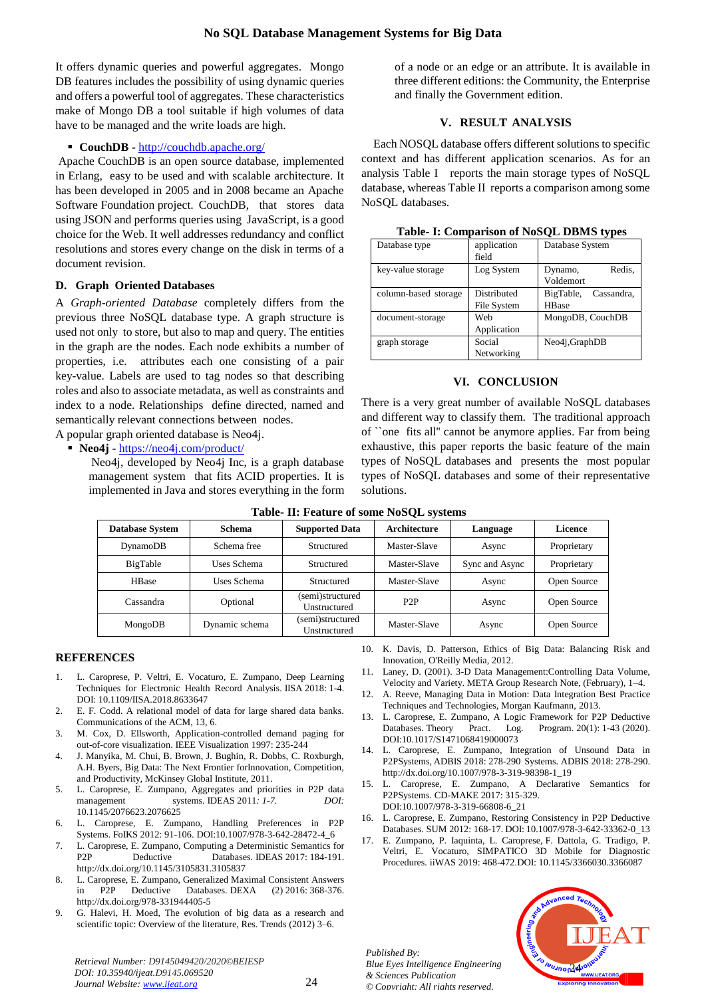It offers dynamic queries and powerful aggregates. Mongo DB features includes the possibility of using dynamic queries and offers a powerful tool of aggregates. These characteristics make of Mongo DB a tool suitable if high volumes of data have to be managed and the write loads are high.

#### **CouchDB -** <http://couchdb.apache.org/>

Apache CouchDB is an open source database, implemented in Erlang, easy to be used and with scalable architecture. It has been developed in 2005 and in 2008 became an Apache Software Foundation project. CouchDB, that stores data using JSON and performs queries using JavaScript, is a good choice for the Web. It well addresses redundancy and conflict resolutions and stores every change on the disk in terms of a document revision.

#### **D. Graph Oriented Databases**

A *Graph-oriented Database* completely differs from the previous three NoSQL database type. A graph structure is used not only to store, but also to map and query. The entities in the graph are the nodes. Each node exhibits a number of properties, i.e. attributes each one consisting of a pair key-value. Labels are used to tag nodes so that describing roles and also to associate metadata, as well as constraints and index to a node. Relationships define directed, named and semantically relevant connections between nodes.

A popular graph oriented database is Neo4j.

**Neo4j -** <https://neo4j.com/product/>

Neo4j, developed by Neo4j Inc, is a graph database management system that fits ACID properties. It is implemented in Java and stores everything in the form of a node or an edge or an attribute. It is available in three different editions: the Community, the Enterprise and finally the Government edition.

## **V. RESULT ANALYSIS**

Each NOSQL database offers different solutions to specific context and has different application scenarios. As for an analysis Table I reports the main storage types of NoSQL database, whereas Table II reports a comparison among some NoSQL databases.

| Lable- 1. Comparison of two OL District vides |             |                         |  |  |  |  |  |  |
|-----------------------------------------------|-------------|-------------------------|--|--|--|--|--|--|
| Database type                                 | application | Database System         |  |  |  |  |  |  |
|                                               | field       |                         |  |  |  |  |  |  |
| key-value storage                             | Log System  | Redis,<br>Dynamo,       |  |  |  |  |  |  |
|                                               |             | Voldemort               |  |  |  |  |  |  |
| column-based storage                          | Distributed | Cassandra,<br>BigTable, |  |  |  |  |  |  |
|                                               | File System | <b>HBase</b>            |  |  |  |  |  |  |
| document-storage                              | Web         | MongoDB, CouchDB        |  |  |  |  |  |  |
|                                               | Application |                         |  |  |  |  |  |  |
| graph storage                                 | Social      | Neo4j,GraphDB           |  |  |  |  |  |  |
|                                               | Networking  |                         |  |  |  |  |  |  |

**Table- I: Comparison of NoSQL DBMS types**

#### **VI. CONCLUSION**

There is a very great number of available NoSQL databases and different way to classify them. The traditional approach of ``one fits all'' cannot be anymore applies. Far from being exhaustive, this paper reports the basic feature of the main types of NoSQL databases and presents the most popular types of NoSQL databases and some of their representative solutions.

| <b>Database System</b> | <b>Schema</b>  | <b>Supported Data</b>            | Architecture     | Language       | Licence     |
|------------------------|----------------|----------------------------------|------------------|----------------|-------------|
| DynamoDB               | Schema free    | Structured                       | Master-Slave     | Async          | Proprietary |
| BigTable               | Uses Schema    | Structured                       | Master-Slave     | Sync and Async | Proprietary |
| <b>HBase</b>           | Uses Schema    | Structured                       | Master-Slave     | Async          | Open Source |
| Cassandra              | Optional       | (semi)structured<br>Unstructured | P <sub>2</sub> P | Async          | Open Source |
| MongoDB                | Dynamic schema | (semi)structured<br>Unstructured | Master-Slave     | Async          | Open Source |

#### **Table- II: Feature of some NoSQL systems**

#### **REFERENCES**

- 1. L. Caroprese, P. Veltri, E. Vocaturo, E. Zumpano, Deep Learning Techniques for Electronic Health Record Analysis. IISA [2018:](https://dblp.uni-trier.de/db/conf/iisa/iisa2018.html#CaropreseVVZ18) 1-4. DOI: [10.1109/IISA.2018.8633647](http://dx.doi.org/10.1109%2FIISA.2018.8633647)
- 2. E. F. Codd. A relational model of data for large shared data banks. Communications of the ACM, 13, 6.
- 3. M. Cox, D. Ellsworth, Application-controlled demand paging for out-of-core visualization. IEEE Visualization 1997: 235-244
- 4. J. Manyika, M. Chui, B. Brown, J. Bughin, R. Dobbs, C. Roxburgh, A.H. Byers, Big Data: The Next Frontier forInnovation, Competition, and Productivity, McKinsey Global Institute, 2011.
- 5. L. Caroprese, E. Zumpano*,* Aggregates and priorities in P2P data management systems. [IDEAS](https://dblp.uni-trier.de/db/conf/ideas/ideas2011.html#CaropreseZ11) 2011*:* 1-7. DOI: [10.1145/2076623.2076625](http://dx.doi.org/10.1145%2F2076623.2076625)
- 6. L. Caroprese, E. Zumpano, Handling Preferences in P2P Systems. [FoIKS](https://dblp.uni-trier.de/db/conf/foiks/foiks2012.html#CaropreseZ12) 2012: 91-106. [DOI:10.1007/978-3-642-28472-4\\_6](http://dx.doi.org/10.1007/978-3-642-28472-4_6)
- 7. L. Caroprese, E. Zumpano, Computing a Deterministic Semantics for P2P Deductive Databases. [IDEAS](https://dblp.uni-trier.de/db/conf/ideas/ideas2017.html#CaropreseZ17) 2017: 184-191. [http://dx.doi.org/10.1145/3105831.3105837](http://dx.doi.org/10.1145%2F3105831.3105837)
- 8. L. Caroprese, E. Zumpano, Generalized Maximal Consistent Answers in P2P Deductive Databases. [DEXA \(2\)](https://dblp.uni-trier.de/db/conf/dexa/dexa2016-2.html#CaropreseZ16) 2016: 368-376. <http://dx.doi.org/978-331944405-5>
- 9. G. Halevi, H. Moed, The evolution of big data as a research and scientific topic: Overview of the literature, Res. Trends (2012) 3–6.

*Retrieval Number: D9145049420/2020©BEIESP DOI: 10.35940/ijeat.D9145.069520 Journal Website: www.ijeat.org*

- 10. K. Davis, D. Patterson, Ethics of Big Data: Balancing Risk and Innovation, O'Reilly Media, 2012.
- 11. Laney, D. (2001). 3-D Data Management:Controlling Data Volume, Velocity and Variety. META Group Research Note, (February), 1–4.
- 12. A. Reeve, Managing Data in Motion: Data Integration Best Practice Techniques and Technologies, Morgan Kaufmann, 2013.
- 13. L. Caroprese, E. Zumpano, A Logic Framework for P2P Deductive Databases. [Theory Pract. Log. Program.](https://dblp.uni-trier.de/db/journals/tplp/tplp20.html#CaropreseZ20) 20(1): 1-43 (2020). [DOI:10.1017/S1471068419000073](http://dx.doi.org/10.1017%2FS1471068419000073)
- 14. L. Caroprese, E. Zumpano, Integration of Unsound Data in P2PSystems[, ADBIS](https://dblp.uni-trier.de/db/conf/adbis/adbis2018.html#CaropreseZ18) 2018: 278-290 Systems. [ADBIS](https://dblp.uni-trier.de/db/conf/adbis/adbis2018.html#CaropreseZ18) 2018: 278-290. [http://dx.doi.org/10.1007/978-3-319-98398-1\\_19](http://dx.doi.org/10.1007%2F978-3-319-98398-1_19)
- 15. L. Caroprese, E. Zumpano, A Declarative Semantics for P2PSystems. [CD-MAKE](https://dblp.uni-trier.de/db/conf/cdmake/cdmake2017.html#CaropreseZ17) 2017: 315-329. [DOI:10.1007/978-3-319-66808-6\\_21](https://iris.unical.it/preview-item/83831?queryId=mysubmissions&)
- 16. L. Caroprese, E. Zumpano, Restoring Consistency in P2P Deductive Databases. SUM [2012:](https://dblp.uni-trier.de/db/conf/sum/sum2012.html#CaropreseZ12) 168-17. DOI[: 10.1007/978-3-642-33362-0\\_13](http://dx.doi.org/10.1007%2F978-3-642-33362-0_13)
- 17. E. Zumpano, P. Iaquinta, L. Caroprese, F. Dattola, G. Tradigo, P. Veltri, E. Vocaturo, SIMPATICO 3D Mobile for Diagnostic Procedures. [iiWAS](https://dblp.uni-trier.de/db/conf/iiwas/iiwas2019.html#ZumpanoICDTVV19) 2019: 468-472.DOI: [10.1145/3366030.3366087](http://dx.doi.org/10.1145%2F3366030.3366087)

*Published By: Blue Eyes Intelligence Engineering & Sciences Publication © Copyright: All rights reserved.*

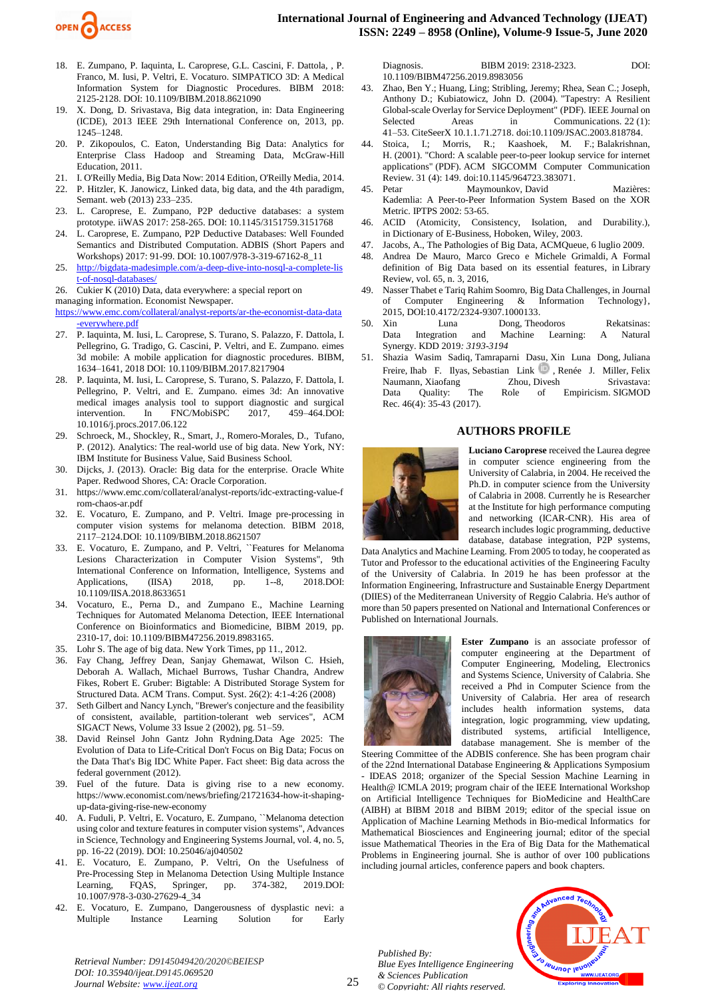

- 18. E. Zumpano, P. Iaquinta, L. Caroprese, G.L. Cascini, F. Dattola, , P. Franco, M. Iusi, P. Veltri, E. Vocaturo. SIMPATICO 3D: A Medical Information System for Diagnostic Procedures. BIBM 2018: 2125-2128. DOI[: 10.1109/BIBM.2018.8621090](http://dx.doi.org/10.1109%2FBIBM.2018.8621090)
- 19. X. Dong, D. Srivastava, Big data integration, in: Data Engineering (ICDE), 2013 IEEE 29th International Conference on, 2013, pp. 1245–1248.
- 20. P. Zikopoulos, C. Eaton, Understanding Big Data: Analytics for Enterprise Class Hadoop and Streaming Data, McGraw-Hill Education, 2011.
- 21. I. O'Reilly Media, Big Data Now: 2014 Edition, O'Reilly Media, 2014.
- 22. P. Hitzler, K. Janowicz, Linked data, big data, and the 4th paradigm, Semant. web (2013) 233–235.
- 23. L. Caroprese, E. Zumpano, P2P deductive databases: a system prototype. [iiWAS](https://dblp.uni-trier.de/db/conf/iiwas/iiwas2017.html#CaropreseZ17) 2017: 258-265. DOI: [10.1145/3151759.3151768](http://dx.doi.org/10.1145%2F3151759.3151768)
- 24. L. Caroprese, E. Zumpano, P2P Deductive Databases: Well Founded Semantics and Distributed Computation. [ADBIS \(Short Papers and](https://dblp.uni-trier.de/db/conf/adbis/adbis2017w.html#CaropreseZ17)  [Workshops\)](https://dblp.uni-trier.de/db/conf/adbis/adbis2017w.html#CaropreseZ17) 2017: 91-99. DOI: [10.1007/978-3-319-67162-8\\_11](http://dx.doi.org/10.1007%2F978-3-319-67162-8_11)
- 25. [http://bigdata-madesimple.com/a-deep-dive-into-nosql-a-complete-lis](http://bigdata-madesimple.com/a-deep-dive-into-nosql-a-complete-list-of-nosql-databases/) [t-of-nosql-databases/](http://bigdata-madesimple.com/a-deep-dive-into-nosql-a-complete-list-of-nosql-databases/)

26. Cukier  $\hat{K}$  (2010) Data, data everywhere: a special report on

managing information. Economist Newspaper.

[https://www.emc.com/collateral/analyst-reports/ar-the-economist-data-data](https://www.emc.com/collateral/analyst-reports/ar-the-economist-data-data-everywhere.pdf) [-everywhere.pdf](https://www.emc.com/collateral/analyst-reports/ar-the-economist-data-data-everywhere.pdf)

- 27. P. Iaquinta, M. Iusi, L. Caroprese, S. Turano, S. Palazzo, F. Dattola, I. Pellegrino, G. Tradigo, G. Cascini, P. Veltri, and E. Zumpano. eimes 3d mobile: A mobile application for diagnostic procedures. BIBM, 1634–1641, 2018 DOI: [10.1109/BIBM.2017.8217904](http://dx.doi.org/10.1109%2FBIBM.2017.8217904)
- 28. P. Iaquinta, M. Iusi, L. Caroprese, S. Turano, S. Palazzo, F. Dattola, I. Pellegrino, P. Veltri, and E. Zumpano. eimes 3d: An innovative medical images analysis tool to support diagnostic and surgical intervention. In FNC/MobiSPC 2017, 459–464.DOI: [10.1016/j.procs.2017.06.122](http://dx.doi.org/10.1016%2Fj.procs.2017.06.122)
- 29. Schroeck, M., Shockley, R., Smart, J., Romero-Morales, D., Tufano, P. (2012). Analytics: The real-world use of big data. New York, NY: IBM Institute for Business Value, Said Business School.
- 30. Dijcks, J. (2013). Oracle: Big data for the enterprise. Oracle White Paper. Redwood Shores, CA: Oracle Corporation.
- 31. https://www.emc.com/collateral/analyst-reports/idc-extracting-value-f rom-chaos-ar.pdf
- 32. E. Vocaturo, E. Zumpano, and P. Veltri. Image pre-processing in computer vision systems for melanoma detection. BIBM 2018, 2117–2124.DOI: [10.1109/BIBM.2018.8621507](http://dx.doi.org/10.1109%2FBIBM.2018.8621507)
- 33. E. Vocaturo, E. Zumpano, and P. Veltri, ``Features for Melanoma Lesions Characterization in Computer Vision Systems", 9th International Conference on Information, Intelligence, Systems and Applications, (IISA) 2018, pp. 1--8, 2018.DOI: [10.1109/IISA.2018.8633651](http://dx.doi.org/10.1109%2FIISA.2018.8633651)
- 34. Vocaturo, E., Perna D., and Zumpano E., Machine Learning Techniques for Automated Melanoma Detection, IEEE International Conference on Bioinformatics and Biomedicine, BIBM 2019, pp. 2310-17, doi: 10.1109/BIBM47256.2019.8983165.
- 35. Lohr S. The age of big data. New York Times, pp 11., 2012.
- 36. Fay Chang, Jeffrey Dean, Sanjay Ghemawat, Wilson C. Hsieh, Deborah A. Wallach, Michael Burrows, Tushar Chandra, Andrew Fikes, Robert E. Gruber: Bigtable: A Distributed Storage System for Structured Data. ACM Trans. Comput. Syst. 26(2): 4:1-4:26 (2008)
- 37. Seth Gilbert and Nancy Lynch, "Brewer's conjecture and the feasibility of consistent, available, partition-tolerant web services", ACM SIGACT News, Volume 33 Issue 2 (2002), pg. 51–59.
- 38. David Reinsel John Gantz John Rydning.Data Age 2025: The Evolution of Data to Life-Critical Don't Focus on Big Data; Focus on the Data That's Big IDC White Paper. Fact sheet: Big data across the federal government (2012).
- 39. Fuel of the future. Data is giving rise to a new economy. https://www.economist.com/news/briefing/21721634-how-it-shapingup-data-giving-rise-new-economy
- 40. A. Fuduli, P. Veltri, E. Vocaturo, E. Zumpano, ``Melanoma detection using color and texture features in computer vision systems", Advances in Science, Technology and Engineering Systems Journal, vol. 4, no. 5, pp. 16-22 (2019). DOI: [10.25046/aj040502](http://dx.doi.org/10.25046%2Faj040502)
- 41. E. Vocaturo, E. Zumpano, P. Veltri, On the Usefulness of Pre-Processing Step in Melanoma Detection Using Multiple Instance Learning, FQAS, Springer, pp. 374-382, 2019.DOI: [10.1007/978-3-030-27629-4\\_34](http://dx.doi.org/10.1007%2F978-3-030-27629-4_34)
- 42. E. Vocaturo, E. Zumpano, Dangerousness of dysplastic nevi: a Multiple Instance Learning Solution for Early

Diagnosis. [BIBM](https://dblp.uni-trier.de/db/conf/bibm/bibm2019.html#VocaturoZ19) 2019: 2318-2323. DOI: [10.1109/BIBM47256.2019.8983056](http://dx.doi.org/10.1109%2FBIBM47256.2019.8983056)

- 43. Zhao, Ben Y.; Huang, Ling; Stribling, Jeremy; Rhea, Sean C.; Joseph, Anthony D.; Kubiatowicz, John D. (2004). ["Tapestry: A Resilient](http://pdos.csail.mit.edu/~strib/docs/tapestry/tapestry_jsac03.pdf)  [Global-scale Overlay for Service Deployment"](http://pdos.csail.mit.edu/~strib/docs/tapestry/tapestry_jsac03.pdf) (PDF). IEEE Journal on Selected Areas in Communications. 22 (1): 41–53. [CiteSeerX](https://en.wikipedia.org/wiki/CiteSeerX_(identifier)) [10.1.1.71.2718.](https://citeseerx.ist.psu.edu/viewdoc/summary?doi=10.1.1.71.2718) [doi](https://en.wikipedia.org/wiki/Doi_(identifier))[:10.1109/JSAC.2003.818784.](https://doi.org/10.1109%2FJSAC.2003.818784)
- 44. [Stoica, I.;](https://en.wikipedia.org/wiki/Ion_Stoica) Morris, R.; Kaashoek, M. F.; [Balakrishnan,](https://en.wikipedia.org/wiki/Hari_Balakrishnan)  [H.](https://en.wikipedia.org/wiki/Hari_Balakrishnan) (2001). ["Chord: A scalable peer-to-peer lookup service for internet](http://pdos.csail.mit.edu/papers/chord:sigcomm01/chord_sigcomm.pdf)  [applications"](http://pdos.csail.mit.edu/papers/chord:sigcomm01/chord_sigcomm.pdf) (PDF). ACM SIGCOMM Computer Communication Review. 31 (4): 149. [doi:](https://en.wikipedia.org/wiki/Doi_(identifier))[10.1145/964723.383071.](https://doi.org/10.1145%2F964723.383071)
- 45. Petar Maymounkov, [David Mazières:](https://dblp.org/pers/hd/m/Mazi=egrave=res:David) Kademlia: A Peer-to-Peer Information System Based on the XOR Metric. [IPTPS](https://dblp.org/db/conf/iptps/iptps2002.html#MaymounkovM02) 2002: 53-65.
- 46. ACID (Atomicity, Consistency, Isolation, and Durability.), in Dictionary of E-Business, Hoboken, Wiley, 2003.
- 47. Jacobs, A., [The Pathologies of Big Data,](http://queue.acm.org/detail.cfm?id=1563874) ACMQueue, 6 luglio 2009.
- 48. Andrea De Mauro, Marco Greco e Michele Grimaldi, [A Formal](https://dx.doi.org/10.1108/LR-06-2015-0061)  [definition of Big Data based on its essential features,](https://dx.doi.org/10.1108/LR-06-2015-0061) in Library Review, vol. 65, n. 3, 2016,
- 49. Nasser Thabet e Tariq Rahim Soomro, [Big Data Challenges,](https://www.researchgate.net/publication/282281171) in Journal of Computer Engineering & Information Technology}, 2015, [DOI](https://it.wikipedia.org/wiki/Digital_object_identifier)[:10.4172/2324-9307.1000133.](https://dx.doi.org/10.4172%2F2324-9307.1000133)
- 50. Xin Luna Dong, [Theodoros Rekatsinas:](https://dblp.org/pers/hd/r/Rekatsinas:Theodoros) Data Integration and Machine Learning: A Natural Synergy. [KDD](https://dblp.org/db/conf/kdd/kdd2019.html#DongR19) 2019*: 3193-3194*
- 51. [Shazia Wasim Sadiq,](https://dblp.org/pers/hd/s/Sadiq:Shazia_Wasim) [Tamraparni Dasu,](https://dblp.org/pers/hd/d/Dasu:Tamraparni) Xin Luna Dong, [Juliana](https://dblp.org/pers/hd/f/Freire:Juliana)  [Freire,](https://dblp.org/pers/hd/f/Freire:Juliana) [Ihab F. Ilyas,](https://dblp.org/pers/hd/i/Ilyas:Ihab_F=) [Sebastian Link](https://dblp.org/pers/hd/l/Link:Sebastian) , [Renée J. Miller,](https://dblp.org/pers/hd/m/Miller:Ren=eacute=e_J=) Felix [Naumann,](https://dblp.org/pers/hd/n/Naumann:Felix) [Xiaofang Zhou,](https://dblp.org/pers/hd/z/Zhou_0001:Xiaofang) [Divesh Srivastava:](https://dblp.org/pers/hd/s/Srivastava:Divesh) Data Quality: The Role of Empiricism. [SIGMOD](https://dblp.org/db/journals/sigmod/sigmod46.html#SadiqDDFILMNZS17)  Rec. [46\(4\):](https://dblp.org/db/journals/sigmod/sigmod46.html#SadiqDDFILMNZS17) 35-43 (2017).

#### **AUTHORS PROFILE**



**Luciano Caroprese** received the Laurea degree in computer science engineering from the University of Calabria, in 2004. He received the Ph.D. in computer science from the University of Calabria in 2008. Currently he is Researcher at the Institute for high performance computing and networking (ICAR-CNR). His area of research includes logic programming, deductive database, database integration, P2P systems,

Data Analytics and Machine Learning. From 2005 to today, he cooperated as Tutor and Professor to the educational activities of the Engineering Faculty of the University of Calabria. In 2019 he has been professor at the Information Engineering, Infrastructure and Sustainable Energy Department (DIIES) of the Mediterranean University of Reggio Calabria. He's author of more than 50 papers presented on National and International Conferences or Published on International Journals.



**Ester Zumpano** is an associate professor of computer engineering at the Department of Computer Engineering, Modeling, Electronics and Systems Science, University of Calabria. She received a Phd in Computer Science from the University of Calabria. Her area of research includes health information systems, data integration, logic programming, view updating, distributed systems, artificial Intelligence, database management. She is member of the

Steering Committee of the ADBIS conference. She has been program chair of the 22nd International Database Engineering & Applications Symposium - IDEAS 2018; organizer of the Special Session Machine Learning in Health@ ICMLA 2019; program chair of the IEEE International Workshop on Artificial Intelligence Techniques for BioMedicine and HealthCare (AIBH) at BIBM 2018 and BIBM 2019; editor of the special issue on Application of Machine Learning Methods in Bio-medical Informatics for Mathematical Biosciences and Engineering journal; editor of the special issue Mathematical Theories in the Era of Big Data for the Mathematical Problems in Engineering journal. She is author of over 100 publications including journal articles, conference papers and book chapters.

*Published By: Blue Eyes Intelligence Engineering & Sciences Publication © Copyright: All rights reserved.*



*Retrieval Number: D9145049420/2020©BEIESP DOI: 10.35940/ijeat.D9145.069520 Journal Website: www.ijeat.org*